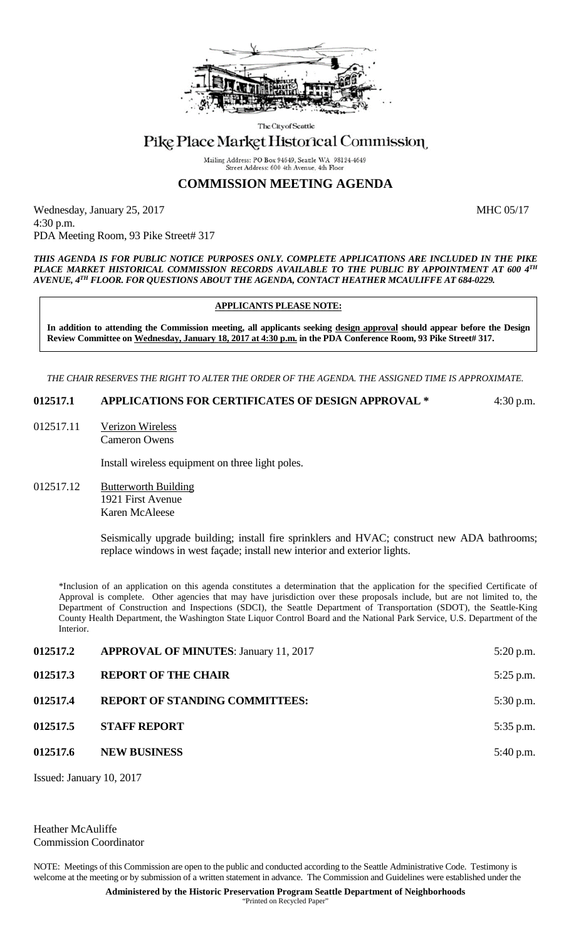

The City of Seattle

## Pike Place Market Historical Commission

Mailing Address: PO Box 94649, Seattle WA 98124-4649 Street Address: 600 4th Avenue, 4th Floo

## **COMMISSION MEETING AGENDA**

Wednesday, January 25, 2017 MHC 05/17 4:30 p.m. PDA Meeting Room, 93 Pike Street# 317

*THIS AGENDA IS FOR PUBLIC NOTICE PURPOSES ONLY. COMPLETE APPLICATIONS ARE INCLUDED IN THE PIKE PLACE MARKET HISTORICAL COMMISSION RECORDS AVAILABLE TO THE PUBLIC BY APPOINTMENT AT 600 4TH AVENUE, 4TH FLOOR. FOR QUESTIONS ABOUT THE AGENDA, CONTACT HEATHER MCAULIFFE AT 684-0229.*

## **APPLICANTS PLEASE NOTE:**

**In addition to attending the Commission meeting, all applicants seeking design approval should appear before the Design Review Committee on Wednesday, January 18, 2017 at 4:30 p.m. in the PDA Conference Room, 93 Pike Street# 317.** 

*THE CHAIR RESERVES THE RIGHT TO ALTER THE ORDER OF THE AGENDA. THE ASSIGNED TIME IS APPROXIMATE.*

## **012517.1 APPLICATIONS FOR CERTIFICATES OF DESIGN APPROVAL \*** 4:30 p.m.

012517.11 Verizon Wireless Cameron Owens

Install wireless equipment on three light poles.

012517.12 Butterworth Building 1921 First Avenue Karen McAleese

> Seismically upgrade building; install fire sprinklers and HVAC; construct new ADA bathrooms; replace windows in west façade; install new interior and exterior lights.

\*Inclusion of an application on this agenda constitutes a determination that the application for the specified Certificate of Approval is complete. Other agencies that may have jurisdiction over these proposals include, but are not limited to, the Department of Construction and Inspections (SDCI), the Seattle Department of Transportation (SDOT), the Seattle-King County Health Department, the Washington State Liquor Control Board and the National Park Service, U.S. Department of the Interior.

| 012517.2 | <b>APPROVAL OF MINUTES: January 11, 2017</b> | $5:20$ p.m. |
|----------|----------------------------------------------|-------------|
| 012517.3 | <b>REPORT OF THE CHAIR</b>                   | $5:25$ p.m. |
| 012517.4 | <b>REPORT OF STANDING COMMITTEES:</b>        | $5:30$ p.m. |
| 012517.5 | <b>STAFF REPORT</b>                          | 5:35 p.m.   |
| 012517.6 | <b>NEW BUSINESS</b>                          | $5:40$ p.m. |
|          |                                              |             |

Issued: January 10, 2017

Heather McAuliffe Commission Coordinator

NOTE: Meetings of this Commission are open to the public and conducted according to the Seattle Administrative Code. Testimony is welcome at the meeting or by submission of a written statement in advance. The Commission and Guidelines were established under the